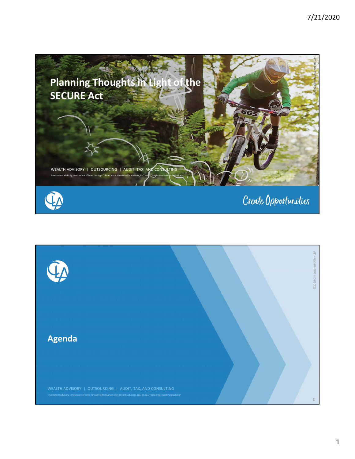

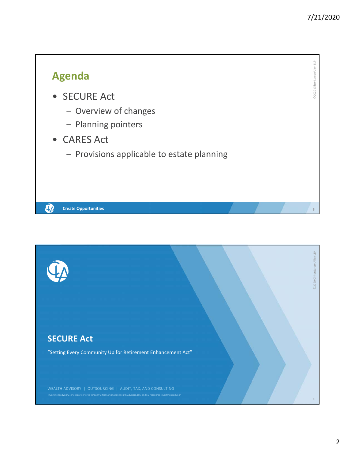7/21/2020



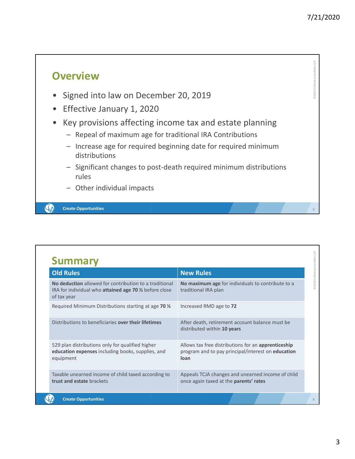©2020 CliftonLarsonAllen LLP

@2020 CliftonLarsonAllen LLP

**5**

### **Overview**

- Signed into law on December 20, 2019
- Effective January 1, 2020
- Key provisions affecting income tax and estate planning
	- Repeal of maximum age for traditional IRA Contributions
	- Increase age for required beginning date for required minimum distributions
	- Significant changes to post‐death required minimum distributions rules
	- Other individual impacts

**Create Opportunities**

 $\mathbf{Q}_{\pmb{\lambda}}$ 

| <b>Old Rules</b>                                                                                                               | <b>New Rules</b>                                                                                                         |  |
|--------------------------------------------------------------------------------------------------------------------------------|--------------------------------------------------------------------------------------------------------------------------|--|
| No deduction allowed for contribution to a traditional<br>IRA for individual who attained age 70 % before close<br>of tax year | No maximum age for individuals to contribute to a<br>traditional IRA plan                                                |  |
| Required Minimum Distributions starting at age 70 %                                                                            | Increased RMD age to 72                                                                                                  |  |
| Distributions to beneficiaries over their lifetimes                                                                            | After death, retirement account balance must be<br>distributed within 10 years                                           |  |
| 529 plan distributions only for qualified higher<br>education expenses including books, supplies, and<br>equipment             | Allows tax free distributions for an apprenticeship<br>program and to pay principal/interest on <b>education</b><br>loan |  |
| Taxable unearned income of child taxed according to<br>trust and estate brackets                                               | Appeals TCJA changes and unearned income of child<br>once again taxed at the parents' rates                              |  |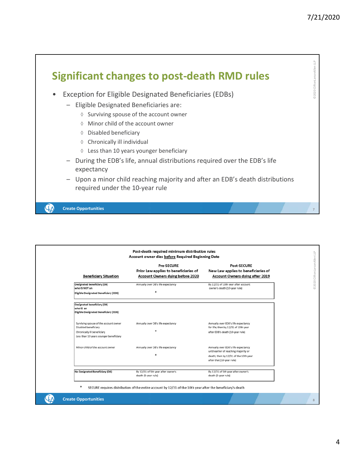

| <b>Beneficiary Situation</b>                                                                                                           | <b>Pre-SECURE</b><br>Prior Law applies to beneficiaries of<br><b>Account Owners dying before 2020</b> | <b>Post-SECURE</b><br>New Law applies to beneficiaries of<br><b>Account Owners dying after 2019</b>                                                |
|----------------------------------------------------------------------------------------------------------------------------------------|-------------------------------------------------------------------------------------------------------|----------------------------------------------------------------------------------------------------------------------------------------------------|
| Designated beneficiary (DB)<br>who IS NOT an<br>Eligible Designated Beneficiary (EDB)                                                  | Annually over DB's life expectancy                                                                    | By 12/31 of 10th year after account<br>owner's death (10-year rule)                                                                                |
| Designated beneficiary (DB)<br>who IS an<br>Eligible Designated Beneficiary (EDB)                                                      |                                                                                                       |                                                                                                                                                    |
| Surviving spouse of the account owner<br>Disabled beneficiary<br>Chronically ill beneficiary<br>Less than 10 years younger beneficiary | Annually over DB's life expectancy                                                                    | Annually over EDB's life expectancy<br>for life; then by 12/31 of 10th year<br>after EDB's death (10-year rule)                                    |
| Minor child of the account owner                                                                                                       | Annually over DB's life expectancy                                                                    | Annually over EDB's life expectancy<br>until earlier of reaching majority or<br>death; then by 12/31 of the 10th year<br>after that (10-year rule) |
| No Designated Beneficiary (DB)                                                                                                         | By 12/31 of 5th year after owner's<br>death (5-year rule)                                             | By 12/31 of 5th year after owner's<br>death (5-year rule)                                                                                          |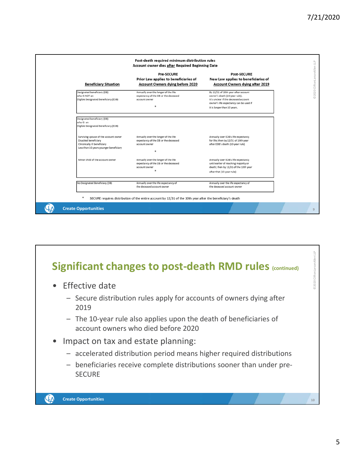

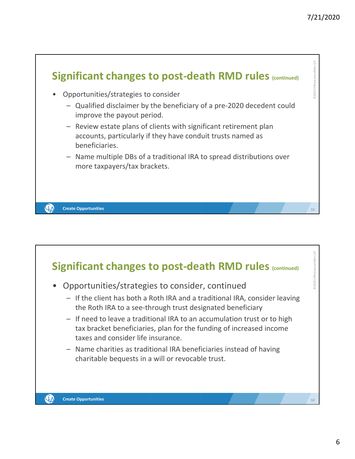#### 7/21/2020



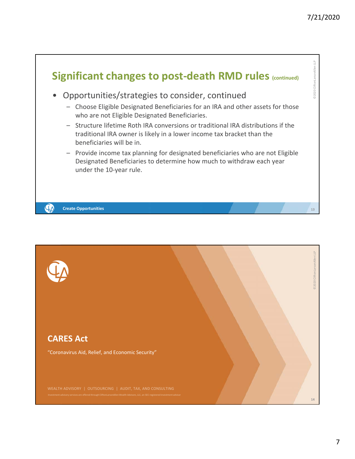

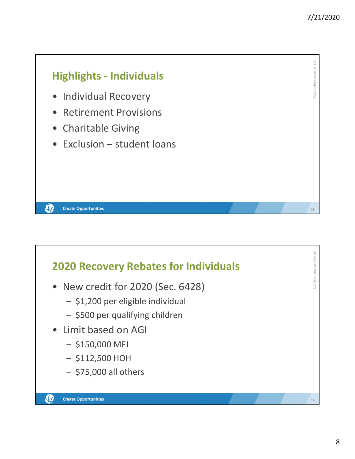©2020 CliftonLarsonAllen LLP

02020 CliftonLarsonAllen LLP

**15**

©2020 CliftonLarsonAllen LLP

2020 CliftonLarsonAllen LLP

**16**

## **Highlights ‐ Individuals**

- Individual Recovery
- Retirement Provisions
- Charitable Giving

**Create Opportunities**

QA

• Exclusion – student loans

#### **2020 Recovery Rebates for Individuals**

- New credit for 2020 (Sec. 6428)
	- \$1,200 per eligible individual
	- \$500 per qualifying children
- Limit based on AGI
	- $-$  \$150,000 MFJ
	- \$112,500 HOH
	- \$75,000 all others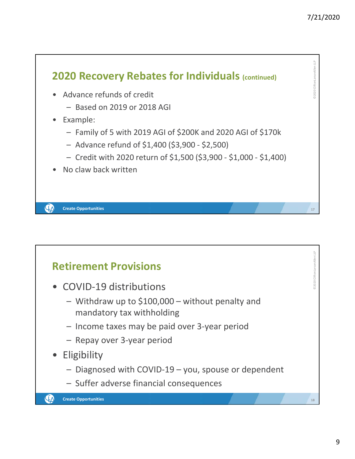

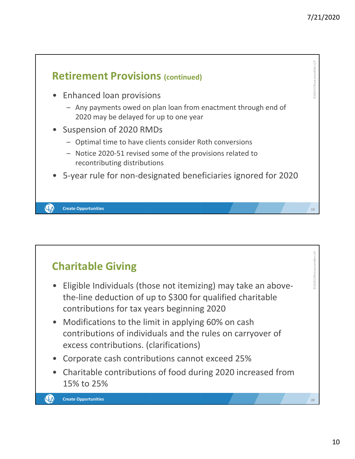

# **Charitable Giving**

- Eligible Individuals (those not itemizing) may take an above‐ the‐line deduction of up to \$300 for qualified charitable contributions for tax years beginning 2020
- Modifications to the limit in applying 60% on cash contributions of individuals and the rules on carryover of excess contributions. (clarifications)
- Corporate cash contributions cannot exceed 25%
- Charitable contributions of food during 2020 increased from 15% to 25%

©2020 CliftonLarsonAllen LLP

020 CliftonLarsonAllen LLP

**20**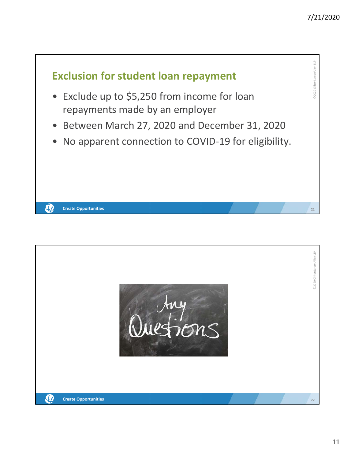